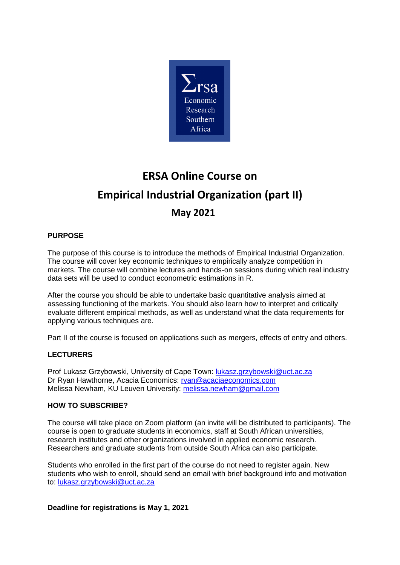

# **ERSA Online Course on Empirical Industrial Organization (part II) May 2021**

## **PURPOSE**

The purpose of this course is to introduce the methods of Empirical Industrial Organization. The course will cover key economic techniques to empirically analyze competition in markets. The course will combine lectures and hands-on sessions during which real industry data sets will be used to conduct econometric estimations in R.

After the course you should be able to undertake basic quantitative analysis aimed at assessing functioning of the markets. You should also learn how to interpret and critically evaluate different empirical methods, as well as understand what the data requirements for applying various techniques are.

Part II of the course is focused on applications such as mergers, effects of entry and others.

### **LECTURERS**

Prof Lukasz Grzybowski, University of Cape Town: [lukasz.grzybowski@uct.ac.za](mailto:lukasz.grzybowski@uct.ac.za) Dr Ryan Hawthorne, Acacia Economics: [ryan@acaciaeconomics.com](mailto:ryan@acaciaeconomics.com) Melissa Newham, KU Leuven University: [melissa.newham@gmail.com](mailto:melissa.newham@gmail.com)

### **HOW TO SUBSCRIBE?**

The course will take place on Zoom platform (an invite will be distributed to participants). The course is open to graduate students in economics, staff at South African universities, research institutes and other organizations involved in applied economic research. Researchers and graduate students from outside South Africa can also participate.

Students who enrolled in the first part of the course do not need to register again. New students who wish to enroll, should send an email with brief background info and motivation to: [lukasz.grzybowski@uct.ac.za](mailto:lukasz.grzybowski@uct.ac.za)

#### **Deadline for registrations is May 1, 2021**